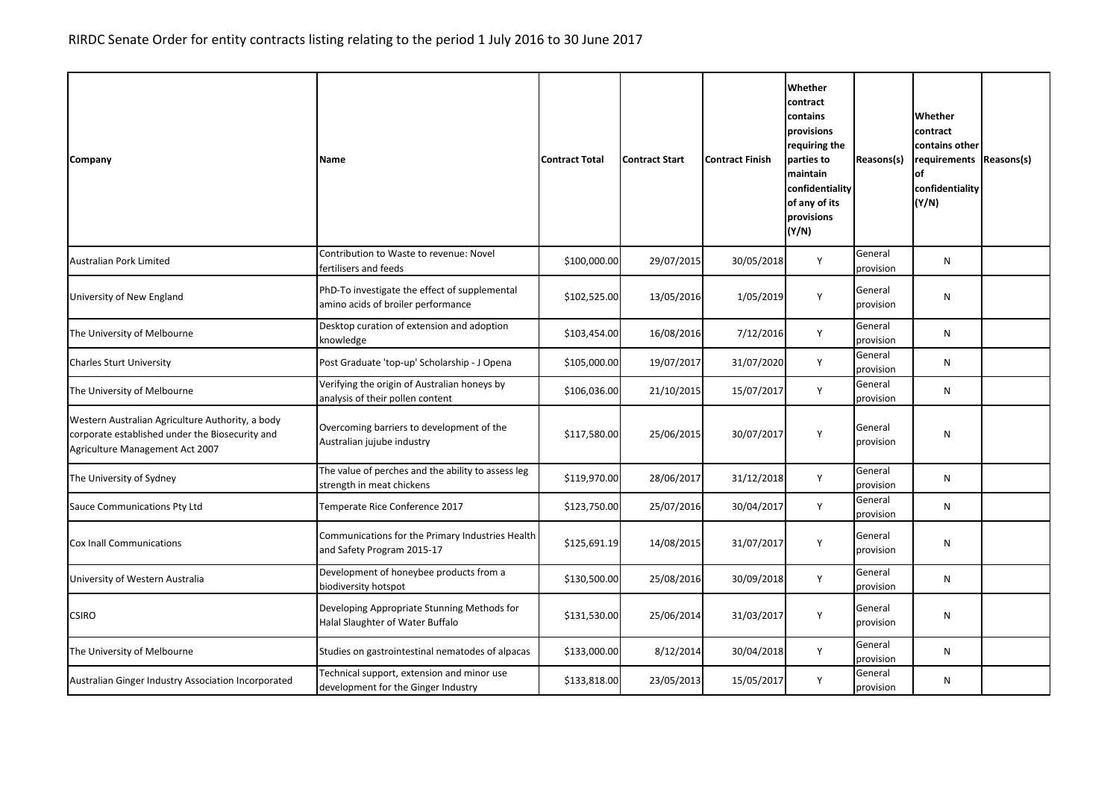| Company                                                                                                                                | Name                                                                                | <b>Contract Total</b> | <b>Contract Start</b> | <b>Contract Finish</b> | Whether<br>contract<br>contains<br>provisions<br>requiring the<br>parties to<br>maintain<br>confidentiality<br>of any of its<br>provisions<br>(Y/N) | Reasons(s)           | Whether<br>contract<br>contains other<br>requirements Reasons(s)<br>of<br>confidentiality<br>(Y/N) |  |
|----------------------------------------------------------------------------------------------------------------------------------------|-------------------------------------------------------------------------------------|-----------------------|-----------------------|------------------------|-----------------------------------------------------------------------------------------------------------------------------------------------------|----------------------|----------------------------------------------------------------------------------------------------|--|
| <b>Australian Pork Limited</b>                                                                                                         | Contribution to Waste to revenue: Novel<br>fertilisers and feeds                    | \$100,000.00          | 29/07/2015            | 30/05/2018             | Y                                                                                                                                                   | General<br>provision | N                                                                                                  |  |
| University of New England                                                                                                              | PhD-To investigate the effect of supplemental<br>amino acids of broiler performance | \$102,525.00          | 13/05/2016            | 1/05/2019              | Y                                                                                                                                                   | General<br>provision | N                                                                                                  |  |
| The University of Melbourne                                                                                                            | Desktop curation of extension and adoption<br>knowledge                             | \$103,454.00          | 16/08/2016            | 7/12/2016              | Y                                                                                                                                                   | General<br>provision | N                                                                                                  |  |
| <b>Charles Sturt University</b>                                                                                                        | Post Graduate 'top-up' Scholarship - J Opena                                        | \$105,000.00          | 19/07/2017            | 31/07/2020             | Y                                                                                                                                                   | General<br>provision | N                                                                                                  |  |
| The University of Melbourne                                                                                                            | Verifying the origin of Australian honeys by<br>analysis of their pollen content    | \$106,036.00          | 21/10/2015            | 15/07/2017             | Y                                                                                                                                                   | General<br>provision | N                                                                                                  |  |
| Western Australian Agriculture Authority, a body<br>corporate established under the Biosecurity and<br>Agriculture Management Act 2007 | Overcoming barriers to development of the<br>Australian jujube industry             | \$117,580.00          | 25/06/2015            | 30/07/2017             | Y                                                                                                                                                   | General<br>provision | ${\sf N}$                                                                                          |  |
| The University of Sydney                                                                                                               | The value of perches and the ability to assess leg<br>strength in meat chickens     | \$119,970.00          | 28/06/2017            | 31/12/2018             | Y                                                                                                                                                   | General<br>provision | N                                                                                                  |  |
| Sauce Communications Pty Ltd                                                                                                           | Temperate Rice Conference 2017                                                      | \$123,750.00          | 25/07/2016            | 30/04/2017             | Y                                                                                                                                                   | General<br>provision | N                                                                                                  |  |
| Cox Inall Communications                                                                                                               | Communications for the Primary Industries Health<br>and Safety Program 2015-17      | \$125,691.19          | 14/08/2015            | 31/07/2017             | Υ                                                                                                                                                   | General<br>provision | N                                                                                                  |  |
| University of Western Australia                                                                                                        | Development of honeybee products from a<br>biodiversity hotspot                     | \$130,500.00          | 25/08/2016            | 30/09/2018             | Y                                                                                                                                                   | General<br>provision | N                                                                                                  |  |
| <b>CSIRO</b>                                                                                                                           | Developing Appropriate Stunning Methods for<br>Halal Slaughter of Water Buffalo     | \$131,530.00          | 25/06/2014            | 31/03/2017             | Y                                                                                                                                                   | General<br>provision | N                                                                                                  |  |
| The University of Melbourne                                                                                                            | Studies on gastrointestinal nematodes of alpacas                                    | \$133,000.00          | 8/12/2014             | 30/04/2018             | Y                                                                                                                                                   | General<br>provision | N                                                                                                  |  |
| Australian Ginger Industry Association Incorporated                                                                                    | Technical support, extension and minor use<br>development for the Ginger Industry   | \$133,818.00          | 23/05/2013            | 15/05/2017             | Y                                                                                                                                                   | General<br>provision | N                                                                                                  |  |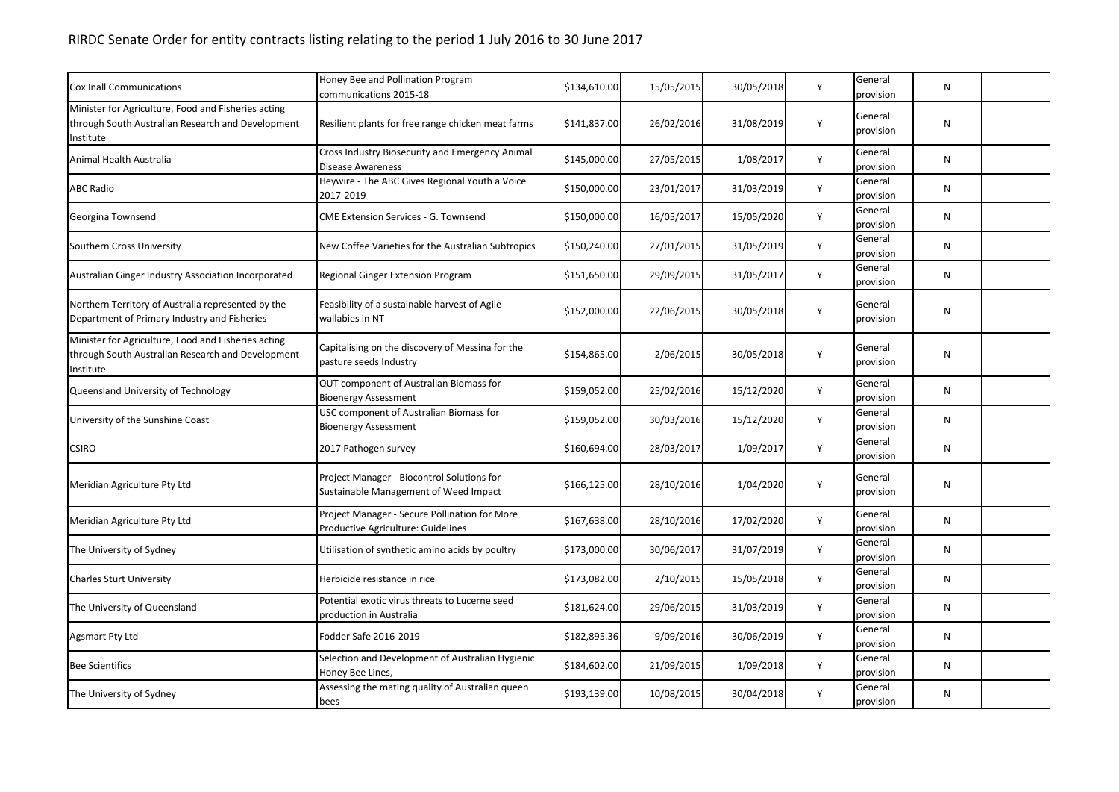| <b>Cox Inall Communications</b>                                                                                       | Honey Bee and Pollination Program                                                   |              | 15/05/2015 | 30/05/2018 | Y | General              | N         |  |
|-----------------------------------------------------------------------------------------------------------------------|-------------------------------------------------------------------------------------|--------------|------------|------------|---|----------------------|-----------|--|
|                                                                                                                       | communications 2015-18                                                              | \$134,610.00 |            |            |   | provision            |           |  |
| Minister for Agriculture, Food and Fisheries acting<br>through South Australian Research and Development<br>Institute | Resilient plants for free range chicken meat farms                                  | \$141,837.00 | 26/02/2016 | 31/08/2019 | Y | General<br>provision | N         |  |
| Animal Health Australia                                                                                               | Cross Industry Biosecurity and Emergency Animal<br><b>Disease Awareness</b>         | \$145,000.00 | 27/05/2015 | 1/08/2017  | Y | General<br>provision | ${\sf N}$ |  |
| <b>ABC Radio</b>                                                                                                      | Heywire - The ABC Gives Regional Youth a Voice<br>2017-2019                         | \$150,000.00 | 23/01/2017 | 31/03/2019 | Y | General<br>provision | ${\sf N}$ |  |
| Georgina Townsend                                                                                                     | <b>CME Extension Services - G. Townsend</b>                                         | \$150,000.00 | 16/05/2017 | 15/05/2020 | Y | General<br>provision | N         |  |
| Southern Cross University                                                                                             | New Coffee Varieties for the Australian Subtropics                                  | \$150,240.00 | 27/01/2015 | 31/05/2019 | Υ | General<br>provision | N         |  |
| Australian Ginger Industry Association Incorporated                                                                   | Regional Ginger Extension Program                                                   | \$151,650.00 | 29/09/2015 | 31/05/2017 | Y | General<br>provision | N         |  |
| Northern Territory of Australia represented by the<br>Department of Primary Industry and Fisheries                    | Feasibility of a sustainable harvest of Agile<br>wallabies in NT                    | \$152,000.00 | 22/06/2015 | 30/05/2018 | Y | General<br>provision | N         |  |
| Minister for Agriculture, Food and Fisheries acting<br>through South Australian Research and Development<br>Institute | Capitalising on the discovery of Messina for the<br>pasture seeds Industry          | \$154,865.00 | 2/06/2015  | 30/05/2018 | Υ | General<br>provision | ${\sf N}$ |  |
| Queensland University of Technology                                                                                   | QUT component of Australian Biomass for<br><b>Bioenergy Assessment</b>              | \$159,052.00 | 25/02/2016 | 15/12/2020 | Y | General<br>provision | N         |  |
| University of the Sunshine Coast                                                                                      | USC component of Australian Biomass for<br><b>Bioenergy Assessment</b>              | \$159,052.00 | 30/03/2016 | 15/12/2020 | Y | General<br>provision | N         |  |
| <b>CSIRO</b>                                                                                                          | 2017 Pathogen survey                                                                | \$160,694.00 | 28/03/2017 | 1/09/2017  | Y | General<br>provision | N         |  |
| Meridian Agriculture Pty Ltd                                                                                          | Project Manager - Biocontrol Solutions for<br>Sustainable Management of Weed Impact | \$166,125.00 | 28/10/2016 | 1/04/2020  | Y | General<br>provision | N         |  |
| Meridian Agriculture Pty Ltd                                                                                          | Project Manager - Secure Pollination for More<br>Productive Agriculture: Guidelines | \$167,638.00 | 28/10/2016 | 17/02/2020 | Υ | General<br>provision | ${\sf N}$ |  |
| The University of Sydney                                                                                              | Utilisation of synthetic amino acids by poultry                                     | \$173,000.00 | 30/06/2017 | 31/07/2019 | Y | General<br>provision | N         |  |
| <b>Charles Sturt University</b>                                                                                       | Herbicide resistance in rice                                                        | \$173,082.00 | 2/10/2015  | 15/05/2018 | Y | General<br>provision | N         |  |
| The University of Queensland                                                                                          | Potential exotic virus threats to Lucerne seed<br>production in Australia           | \$181,624.00 | 29/06/2015 | 31/03/2019 | Y | General<br>provision | N         |  |
| Agsmart Pty Ltd                                                                                                       | Fodder Safe 2016-2019                                                               | \$182,895.36 | 9/09/2016  | 30/06/2019 | Y | General<br>provision | N         |  |
| <b>Bee Scientifics</b>                                                                                                | Selection and Development of Australian Hygienic<br>Honey Bee Lines,                | \$184,602.00 | 21/09/2015 | 1/09/2018  | Y | General<br>provision | N         |  |
| The University of Sydney                                                                                              | Assessing the mating quality of Australian queen<br>bees                            | \$193,139.00 | 10/08/2015 | 30/04/2018 | Y | General<br>provision | N         |  |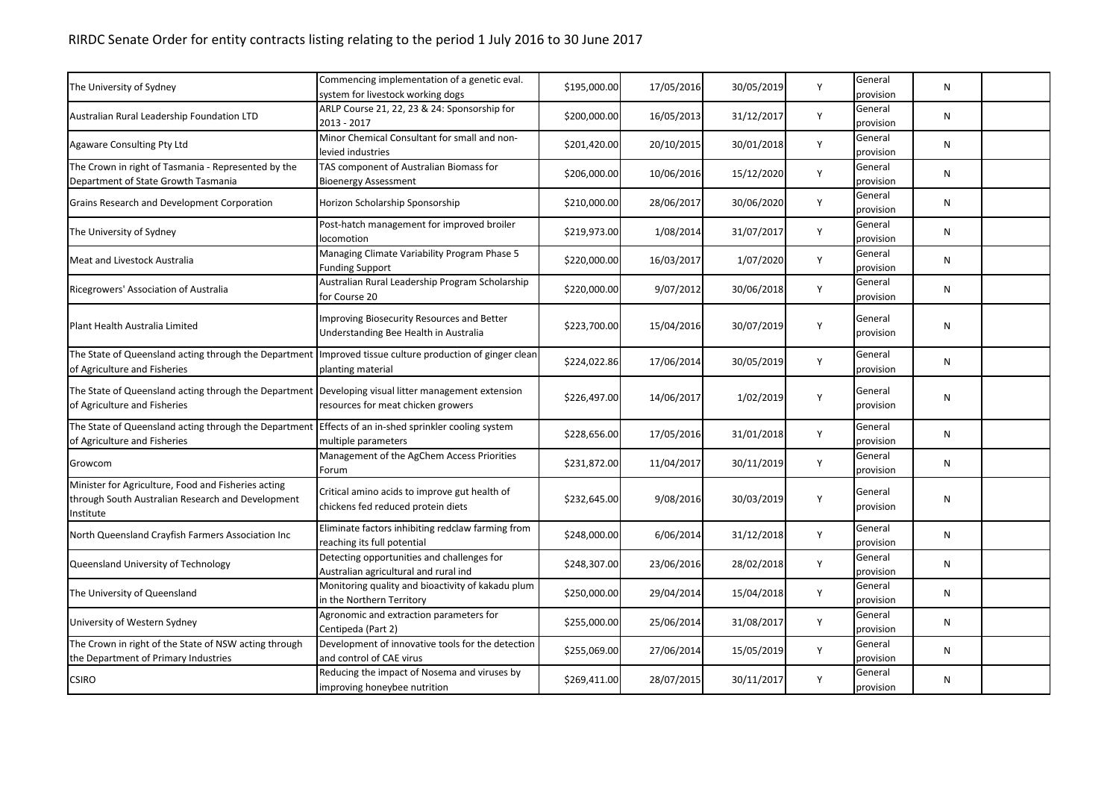## RIRDC Senate Order for entity contracts listing relating to the period 1 July 2016 to 30 June 2017

| The University of Sydney                                                                                                                   | Commencing implementation of a genetic eval.<br>system for livestock working dogs   | \$195,000.00 | 17/05/2016 | 30/05/2019 | Y | General<br>provision | N         |  |
|--------------------------------------------------------------------------------------------------------------------------------------------|-------------------------------------------------------------------------------------|--------------|------------|------------|---|----------------------|-----------|--|
| Australian Rural Leadership Foundation LTD                                                                                                 | ARLP Course 21, 22, 23 & 24: Sponsorship for<br>2013 - 2017                         | \$200,000.00 | 16/05/2013 | 31/12/2017 | Y | General<br>provision | ${\sf N}$ |  |
| <b>Agaware Consulting Pty Ltd</b>                                                                                                          | Minor Chemical Consultant for small and non-<br>levied industries                   | \$201,420.00 | 20/10/2015 | 30/01/2018 | Y | General<br>provision | N         |  |
| The Crown in right of Tasmania - Represented by the<br>Department of State Growth Tasmania                                                 | TAS component of Australian Biomass for<br><b>Bioenergy Assessment</b>              | \$206,000.00 | 10/06/2016 | 15/12/2020 | Y | General<br>provision | N         |  |
| Grains Research and Development Corporation                                                                                                | Horizon Scholarship Sponsorship                                                     | \$210,000.00 | 28/06/2017 | 30/06/2020 | Y | General<br>provision | N         |  |
| The University of Sydney                                                                                                                   | Post-hatch management for improved broiler<br>locomotion                            | \$219,973.00 | 1/08/2014  | 31/07/2017 | Y | General<br>provision | N         |  |
| <b>Meat and Livestock Australia</b>                                                                                                        | Managing Climate Variability Program Phase 5<br><b>Funding Support</b>              | \$220,000.00 | 16/03/2017 | 1/07/2020  | Y | General<br>provision | N         |  |
| Ricegrowers' Association of Australia                                                                                                      | Australian Rural Leadership Program Scholarship<br>for Course 20                    | \$220,000.00 | 9/07/2012  | 30/06/2018 | Y | General<br>provision | ${\sf N}$ |  |
| Plant Health Australia Limited                                                                                                             | Improving Biosecurity Resources and Better<br>Understanding Bee Health in Australia | \$223,700.00 | 15/04/2016 | 30/07/2019 | Y | General<br>provision | N         |  |
| The State of Queensland acting through the Department   Improved tissue culture production of ginger clean<br>of Agriculture and Fisheries | planting material                                                                   | \$224,022.86 | 17/06/2014 | 30/05/2019 | Y | General<br>provision | N         |  |
| The State of Queensland acting through the Department<br>of Agriculture and Fisheries                                                      | Developing visual litter management extension<br>resources for meat chicken growers | \$226,497.00 | 14/06/2017 | 1/02/2019  | Y | General<br>provision | N         |  |
| The State of Queensland acting through the Department<br>of Agriculture and Fisheries                                                      | Effects of an in-shed sprinkler cooling system<br>multiple parameters               | \$228,656.00 | 17/05/2016 | 31/01/2018 | Y | General<br>provision | N         |  |
| Growcom                                                                                                                                    | Management of the AgChem Access Priorities<br>Forum                                 | \$231,872.00 | 11/04/2017 | 30/11/2019 | Y | General<br>provision | N         |  |
| Minister for Agriculture, Food and Fisheries acting<br>through South Australian Research and Development<br>Institute                      | Critical amino acids to improve gut health of<br>chickens fed reduced protein diets | \$232,645.00 | 9/08/2016  | 30/03/2019 | Y | General<br>provision | N         |  |
| North Queensland Crayfish Farmers Association Inc                                                                                          | Eliminate factors inhibiting redclaw farming from<br>reaching its full potential    | \$248,000.00 | 6/06/2014  | 31/12/2018 | Y | General<br>provision | N         |  |
| Queensland University of Technology                                                                                                        | Detecting opportunities and challenges for<br>Australian agricultural and rural ind | \$248,307.00 | 23/06/2016 | 28/02/2018 | Y | General<br>provision | N         |  |
| The University of Queensland                                                                                                               | Monitoring quality and bioactivity of kakadu plum<br>in the Northern Territory      | \$250,000.00 | 29/04/2014 | 15/04/2018 | Y | General<br>provision | N         |  |
| University of Western Sydney                                                                                                               | Agronomic and extraction parameters for<br>Centipeda (Part 2)                       | \$255,000.00 | 25/06/2014 | 31/08/2017 | Y | General<br>provision | N         |  |
| The Crown in right of the State of NSW acting through<br>the Department of Primary Industries                                              | Development of innovative tools for the detection<br>and control of CAE virus       | \$255,069.00 | 27/06/2014 | 15/05/2019 | Y | General<br>provision | N         |  |
| <b>CSIRO</b>                                                                                                                               | Reducing the impact of Nosema and viruses by<br>improving honeybee nutrition        | \$269,411.00 | 28/07/2015 | 30/11/2017 | Y | General<br>provision | N         |  |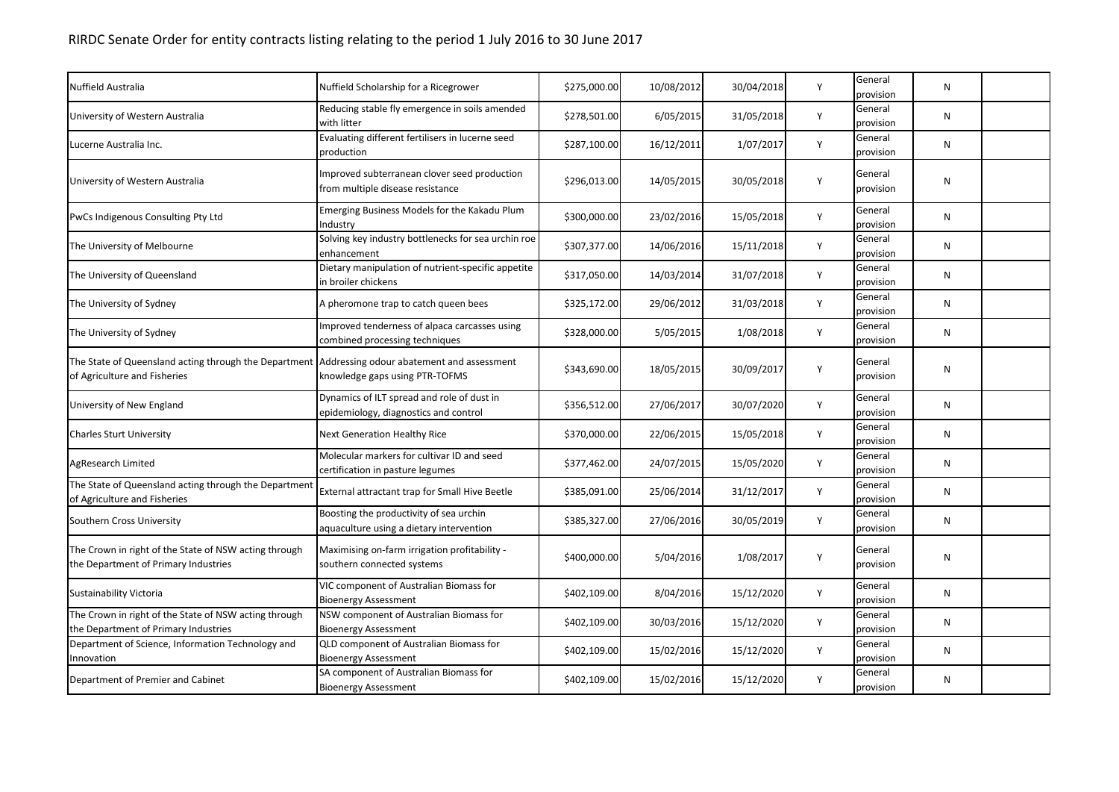| Nuffield Australia                                                                            | Nuffield Scholarship for a Ricegrower                                               | \$275,000.00 | 10/08/2012 | 30/04/2018 | Y | General<br>provision | N         |  |
|-----------------------------------------------------------------------------------------------|-------------------------------------------------------------------------------------|--------------|------------|------------|---|----------------------|-----------|--|
| University of Western Australia                                                               | Reducing stable fly emergence in soils amended<br>with litter                       | \$278,501.00 | 6/05/2015  | 31/05/2018 | Y | General<br>provision | ${\sf N}$ |  |
| Lucerne Australia Inc.                                                                        | Evaluating different fertilisers in lucerne seed<br>production                      | \$287,100.00 | 16/12/2011 | 1/07/2017  | Y | General<br>provision | N         |  |
| University of Western Australia                                                               | Improved subterranean clover seed production<br>from multiple disease resistance    | \$296,013.00 | 14/05/2015 | 30/05/2018 | Y | General<br>provision | N         |  |
| PwCs Indigenous Consulting Pty Ltd                                                            | Emerging Business Models for the Kakadu Plum<br>Industry                            | \$300,000.00 | 23/02/2016 | 15/05/2018 | Y | General<br>provision | ${\sf N}$ |  |
| The University of Melbourne                                                                   | Solving key industry bottlenecks for sea urchin roe<br>enhancement                  | \$307,377.00 | 14/06/2016 | 15/11/2018 | Y | General<br>provision | ${\sf N}$ |  |
| The University of Queensland                                                                  | Dietary manipulation of nutrient-specific appetite<br>in broiler chickens           | \$317,050.00 | 14/03/2014 | 31/07/2018 | Y | General<br>provision | ${\sf N}$ |  |
| The University of Sydney                                                                      | A pheromone trap to catch queen bees                                                | \$325,172.00 | 29/06/2012 | 31/03/2018 | Y | General<br>provision | N         |  |
| The University of Sydney                                                                      | Improved tenderness of alpaca carcasses using<br>combined processing techniques     | \$328,000.00 | 5/05/2015  | 1/08/2018  | Y | General<br>provision | N         |  |
| The State of Queensland acting through the Department<br>of Agriculture and Fisheries         | Addressing odour abatement and assessment<br>knowledge gaps using PTR-TOFMS         | \$343,690.00 | 18/05/2015 | 30/09/2017 | Y | General<br>provision | ${\sf N}$ |  |
| University of New England                                                                     | Dynamics of ILT spread and role of dust in<br>epidemiology, diagnostics and control | \$356,512.00 | 27/06/2017 | 30/07/2020 | Y | General<br>provision | ${\sf N}$ |  |
| <b>Charles Sturt University</b>                                                               | <b>Next Generation Healthy Rice</b>                                                 | \$370,000.00 | 22/06/2015 | 15/05/2018 | Y | General<br>provision | N         |  |
| AgResearch Limited                                                                            | Molecular markers for cultivar ID and seed<br>certification in pasture legumes      | \$377,462.00 | 24/07/2015 | 15/05/2020 | Y | General<br>provision | N         |  |
| The State of Queensland acting through the Department<br>of Agriculture and Fisheries         | External attractant trap for Small Hive Beetle                                      | \$385,091.00 | 25/06/2014 | 31/12/2017 | Y | General<br>provision | N         |  |
| Southern Cross University                                                                     | Boosting the productivity of sea urchin<br>aquaculture using a dietary intervention | \$385,327.00 | 27/06/2016 | 30/05/2019 | Y | General<br>provision | ${\sf N}$ |  |
| The Crown in right of the State of NSW acting through<br>the Department of Primary Industries | Maximising on-farm irrigation profitability -<br>southern connected systems         | \$400,000.00 | 5/04/2016  | 1/08/2017  | Y | General<br>provision | N         |  |
| Sustainability Victoria                                                                       | VIC component of Australian Biomass for<br><b>Bioenergy Assessment</b>              | \$402,109.00 | 8/04/2016  | 15/12/2020 | Y | General<br>provision | N         |  |
| The Crown in right of the State of NSW acting through<br>the Department of Primary Industries | NSW component of Australian Biomass for<br><b>Bioenergy Assessment</b>              | \$402,109.00 | 30/03/2016 | 15/12/2020 | Y | General<br>provision | N         |  |
| Department of Science, Information Technology and<br>Innovation                               | QLD component of Australian Biomass for<br><b>Bioenergy Assessment</b>              | \$402,109.00 | 15/02/2016 | 15/12/2020 | Y | General<br>provision | N         |  |
| Department of Premier and Cabinet                                                             | SA component of Australian Biomass for<br><b>Bioenergy Assessment</b>               | \$402,109.00 | 15/02/2016 | 15/12/2020 | Y | General<br>provision | N         |  |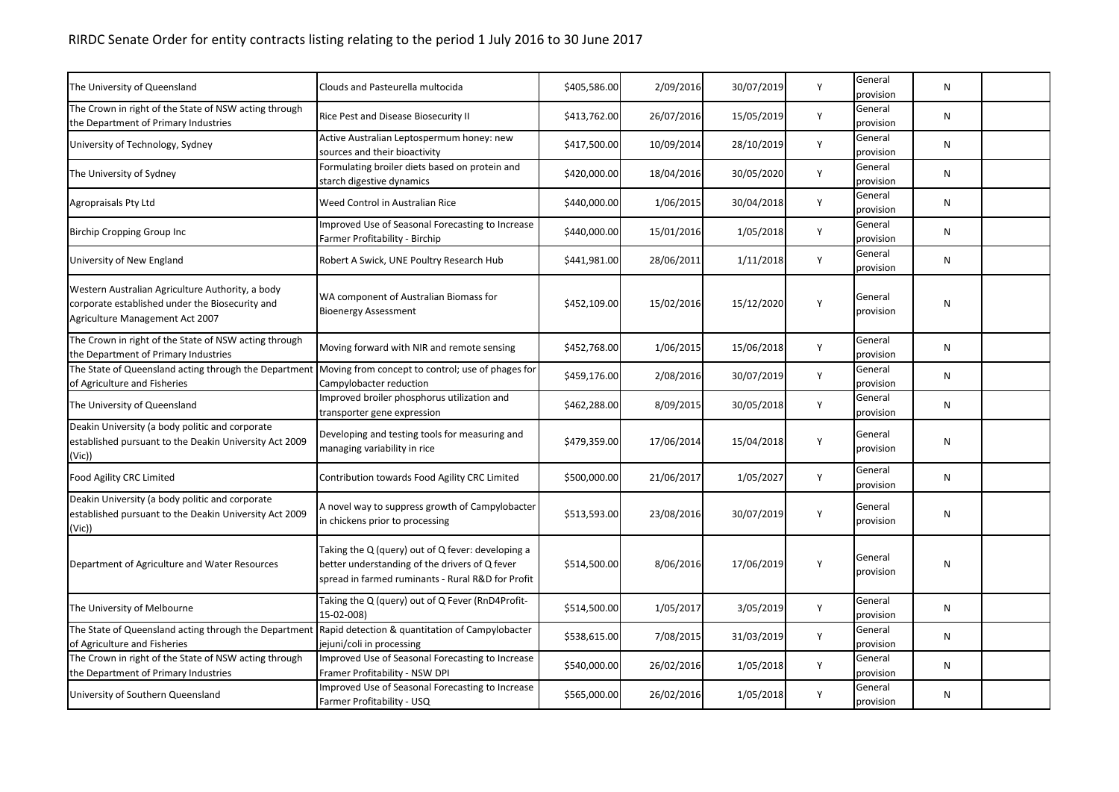| The University of Queensland                                                                                                            | Clouds and Pasteurella multocida                                                                                                                         | \$405,586.00 | 2/09/2016  | 30/07/2019 | Y | General<br>provision | N |  |
|-----------------------------------------------------------------------------------------------------------------------------------------|----------------------------------------------------------------------------------------------------------------------------------------------------------|--------------|------------|------------|---|----------------------|---|--|
| The Crown in right of the State of NSW acting through<br>the Department of Primary Industries                                           | Rice Pest and Disease Biosecurity II                                                                                                                     | \$413,762.00 | 26/07/2016 | 15/05/2019 | Y | General<br>provision | N |  |
| University of Technology, Sydney                                                                                                        | Active Australian Leptospermum honey: new<br>sources and their bioactivity                                                                               | \$417,500.00 | 10/09/2014 | 28/10/2019 | Y | General<br>provision | N |  |
| The University of Sydney                                                                                                                | Formulating broiler diets based on protein and<br>starch digestive dynamics                                                                              | \$420,000.00 | 18/04/2016 | 30/05/2020 | Y | General<br>provision | N |  |
| Agropraisals Pty Ltd                                                                                                                    | Weed Control in Australian Rice                                                                                                                          | \$440,000.00 | 1/06/2015  | 30/04/2018 | Y | General<br>provision | N |  |
| Birchip Cropping Group Inc                                                                                                              | Improved Use of Seasonal Forecasting to Increase<br>Farmer Profitability - Birchip                                                                       | \$440,000.00 | 15/01/2016 | 1/05/2018  | Y | General<br>provision | N |  |
| University of New England                                                                                                               | Robert A Swick, UNE Poultry Research Hub                                                                                                                 | \$441,981.00 | 28/06/2011 | 1/11/2018  | Y | General<br>provision | N |  |
| Western Australian Agriculture Authority, a body<br>corporate established under the Biosecurity and<br>Agriculture Management Act 2007  | WA component of Australian Biomass for<br><b>Bioenergy Assessment</b>                                                                                    | \$452,109.00 | 15/02/2016 | 15/12/2020 | Υ | General<br>provision | N |  |
| The Crown in right of the State of NSW acting through<br>the Department of Primary Industries                                           | Moving forward with NIR and remote sensing                                                                                                               | \$452,768.00 | 1/06/2015  | 15/06/2018 | Υ | General<br>provision | N |  |
| The State of Queensland acting through the Department Moving from concept to control; use of phages for<br>of Agriculture and Fisheries | Campylobacter reduction                                                                                                                                  | \$459,176.00 | 2/08/2016  | 30/07/2019 | Υ | General<br>provision | N |  |
| The University of Queensland                                                                                                            | Improved broiler phosphorus utilization and<br>transporter gene expression                                                                               | \$462,288.00 | 8/09/2015  | 30/05/2018 | Υ | General<br>provision | N |  |
| Deakin University (a body politic and corporate<br>established pursuant to the Deakin University Act 2009<br>(Vic)                      | Developing and testing tools for measuring and<br>managing variability in rice                                                                           | \$479,359.00 | 17/06/2014 | 15/04/2018 | Υ | General<br>provision | N |  |
| <b>Food Agility CRC Limited</b>                                                                                                         | Contribution towards Food Agility CRC Limited                                                                                                            | \$500,000.00 | 21/06/2017 | 1/05/2027  | Υ | General<br>provision | N |  |
| Deakin University (a body politic and corporate<br>established pursuant to the Deakin University Act 2009<br>(Vic))                     | A novel way to suppress growth of Campylobacter<br>in chickens prior to processing                                                                       | \$513,593.00 | 23/08/2016 | 30/07/2019 | Υ | General<br>provision | N |  |
| Department of Agriculture and Water Resources                                                                                           | Taking the Q (query) out of Q fever: developing a<br>better understanding of the drivers of Q fever<br>spread in farmed ruminants - Rural R&D for Profit | \$514,500.00 | 8/06/2016  | 17/06/2019 | Y | General<br>provision | N |  |
| The University of Melbourne                                                                                                             | Taking the Q (query) out of Q Fever (RnD4Profit-<br>15-02-008)                                                                                           | \$514,500.00 | 1/05/2017  | 3/05/2019  | Y | General<br>provision | N |  |
| The State of Queensland acting through the Department<br>of Agriculture and Fisheries                                                   | Rapid detection & quantitation of Campylobacter<br>jejuni/coli in processing                                                                             | \$538,615.00 | 7/08/2015  | 31/03/2019 | Υ | General<br>provision | N |  |
| The Crown in right of the State of NSW acting through<br>the Department of Primary Industries                                           | Improved Use of Seasonal Forecasting to Increase<br>Framer Profitability - NSW DPI                                                                       | \$540,000.00 | 26/02/2016 | 1/05/2018  | Υ | General<br>provision | N |  |
| University of Southern Queensland                                                                                                       | Improved Use of Seasonal Forecasting to Increase<br>Farmer Profitability - USQ                                                                           | \$565,000.00 | 26/02/2016 | 1/05/2018  | Υ | General<br>provision | N |  |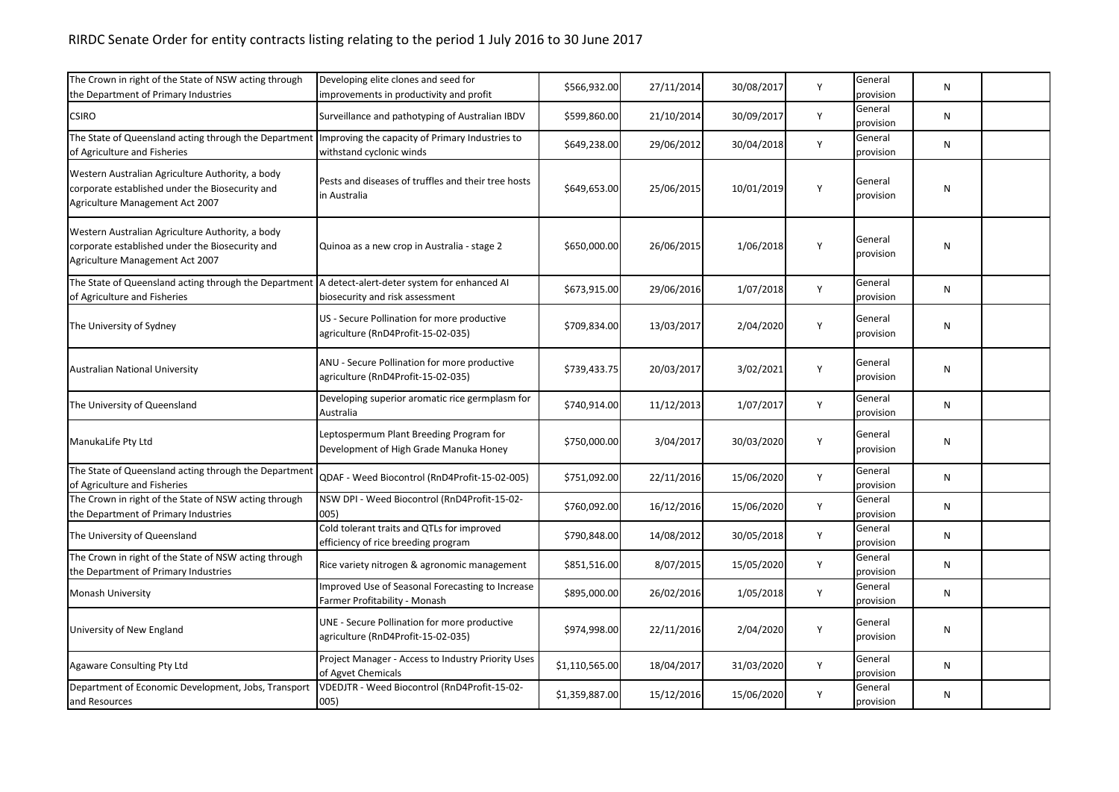| The Crown in right of the State of NSW acting through<br>the Department of Primary Industries                                          | Developing elite clones and seed for<br>improvements in productivity and profit    | \$566,932.00   | 27/11/2014 | 30/08/2017 | Y | General<br>provision | N         |  |
|----------------------------------------------------------------------------------------------------------------------------------------|------------------------------------------------------------------------------------|----------------|------------|------------|---|----------------------|-----------|--|
| <b>CSIRO</b>                                                                                                                           | Surveillance and pathotyping of Australian IBDV                                    | \$599,860.00   | 21/10/2014 | 30/09/2017 | Y | General<br>provision | N         |  |
| The State of Queensland acting through the Department Improving the capacity of Primary Industries to<br>of Agriculture and Fisheries  | withstand cyclonic winds                                                           | \$649,238.00   | 29/06/2012 | 30/04/2018 | Y | General<br>provision | N         |  |
| Western Australian Agriculture Authority, a body<br>corporate established under the Biosecurity and<br>Agriculture Management Act 2007 | Pests and diseases of truffles and their tree hosts<br>in Australia                | \$649,653.00   | 25/06/2015 | 10/01/2019 | Y | General<br>provision | N         |  |
| Western Australian Agriculture Authority, a body<br>corporate established under the Biosecurity and<br>Agriculture Management Act 2007 | Quinoa as a new crop in Australia - stage 2                                        | \$650,000.00   | 26/06/2015 | 1/06/2018  | Y | General<br>provision | N         |  |
| The State of Queensland acting through the Department   A detect-alert-deter system for enhanced AI<br>of Agriculture and Fisheries    | biosecurity and risk assessment                                                    | \$673,915.00   | 29/06/2016 | 1/07/2018  | Υ | General<br>provision | N         |  |
| The University of Sydney                                                                                                               | US - Secure Pollination for more productive<br>agriculture (RnD4Profit-15-02-035)  | \$709,834.00   | 13/03/2017 | 2/04/2020  | Y | General<br>provision | N         |  |
| <b>Australian National University</b>                                                                                                  | ANU - Secure Pollination for more productive<br>agriculture (RnD4Profit-15-02-035) | \$739,433.75   | 20/03/2017 | 3/02/2021  | Υ | General<br>provision | N         |  |
| The University of Queensland                                                                                                           | Developing superior aromatic rice germplasm for<br>Australia                       | \$740,914.00   | 11/12/2013 | 1/07/2017  | Y | General<br>provision | N         |  |
| ManukaLife Pty Ltd                                                                                                                     | Leptospermum Plant Breeding Program for<br>Development of High Grade Manuka Honey  | \$750,000.00   | 3/04/2017  | 30/03/2020 | Υ | General<br>provision | N         |  |
| The State of Queensland acting through the Department<br>of Agriculture and Fisheries                                                  | QDAF - Weed Biocontrol (RnD4Profit-15-02-005)                                      | \$751,092.00   | 22/11/2016 | 15/06/2020 | Y | General<br>provision | N         |  |
| The Crown in right of the State of NSW acting through<br>the Department of Primary Industries                                          | NSW DPI - Weed Biocontrol (RnD4Profit-15-02-<br>005)                               | \$760,092.00   | 16/12/2016 | 15/06/2020 | Y | General<br>provision | N         |  |
| The University of Queensland                                                                                                           | Cold tolerant traits and QTLs for improved<br>efficiency of rice breeding program  | \$790,848.00   | 14/08/2012 | 30/05/2018 | Υ | General<br>provision | N         |  |
| The Crown in right of the State of NSW acting through<br>the Department of Primary Industries                                          | Rice variety nitrogen & agronomic management                                       | \$851,516.00   | 8/07/2015  | 15/05/2020 | Υ | General<br>provision | ${\sf N}$ |  |
| <b>Monash University</b>                                                                                                               | Improved Use of Seasonal Forecasting to Increase<br>Farmer Profitability - Monash  | \$895,000.00   | 26/02/2016 | 1/05/2018  | Y | General<br>provision | N         |  |
| University of New England                                                                                                              | UNE - Secure Pollination for more productive<br>agriculture (RnD4Profit-15-02-035) | \$974,998.00   | 22/11/2016 | 2/04/2020  | Υ | General<br>provision | N         |  |
| <b>Agaware Consulting Pty Ltd</b>                                                                                                      | Project Manager - Access to Industry Priority Uses<br>of Agvet Chemicals           | \$1,110,565.00 | 18/04/2017 | 31/03/2020 | Y | General<br>provision | N         |  |
| Department of Economic Development, Jobs, Transport<br>and Resources                                                                   | VDEDJTR - Weed Biocontrol (RnD4Profit-15-02-<br>005)                               | \$1,359,887.00 | 15/12/2016 | 15/06/2020 | Y | General<br>provision | N         |  |